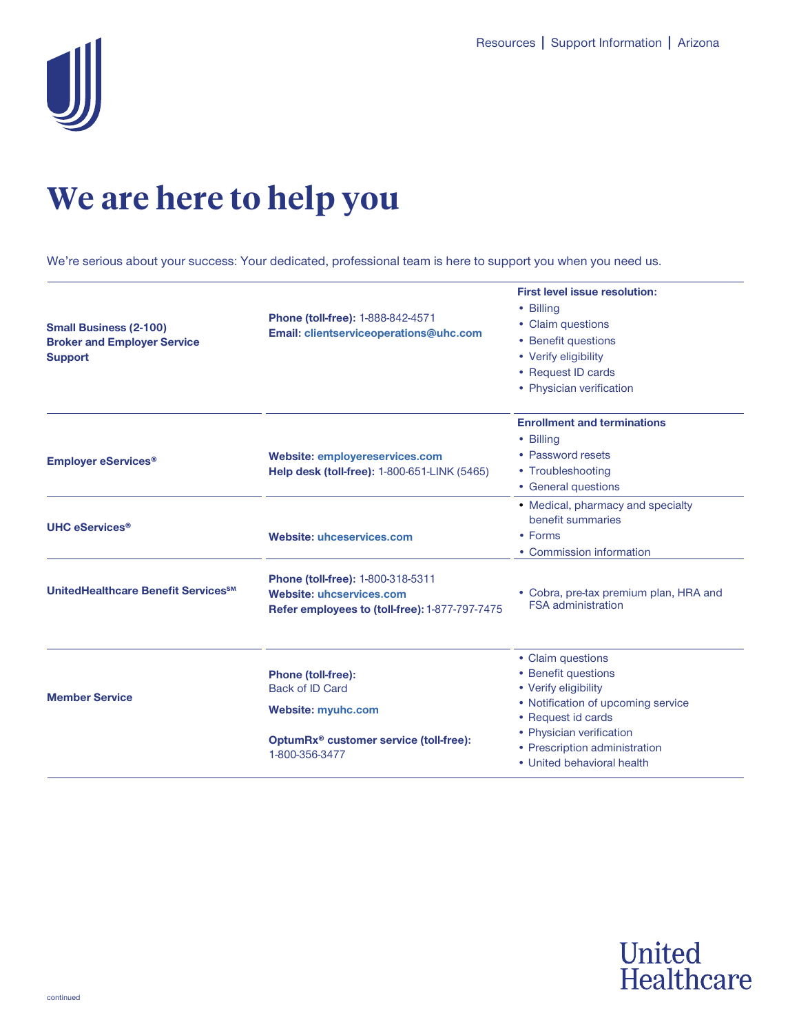

## **We are here to help you**

We're serious about your success: Your dedicated, professional team is here to support you when you need us.

| <b>Small Business (2-100)</b><br><b>Broker and Employer Service</b><br><b>Support</b> | Phone (toll-free): 1-888-842-4571<br>Email: clientserviceoperations@uhc.com                                                                       | <b>First level issue resolution:</b><br>• Billina<br>• Claim questions<br>• Benefit questions<br>• Verify eligibility<br>• Request ID cards<br>• Physician verification                                                 |
|---------------------------------------------------------------------------------------|---------------------------------------------------------------------------------------------------------------------------------------------------|-------------------------------------------------------------------------------------------------------------------------------------------------------------------------------------------------------------------------|
| <b>Employer eServices<sup>®</sup></b>                                                 | <b>Website: employereservices.com</b><br>Help desk (toll-free): 1-800-651-LINK (5465)                                                             | <b>Enrollment and terminations</b><br>• Billing<br>• Password resets<br>• Troubleshooting<br>• General questions                                                                                                        |
| <b>UHC eServices<sup>®</sup></b>                                                      | <b>Website: uhceservices.com</b>                                                                                                                  | • Medical, pharmacy and specialty<br>benefit summaries<br>• Forms<br>• Commission information                                                                                                                           |
| UnitedHealthcare Benefit Services <sup>SM</sup>                                       | Phone (toll-free): 1-800-318-5311<br><b>Website: uhcservices.com</b><br>Refer employees to (toll-free): 1-877-797-7475                            | • Cobra, pre-tax premium plan, HRA and<br><b>FSA</b> administration                                                                                                                                                     |
| <b>Member Service</b>                                                                 | Phone (toll-free):<br><b>Back of ID Card</b><br><b>Website: myuhc.com</b><br>OptumRx <sup>®</sup> customer service (toll-free):<br>1-800-356-3477 | • Claim questions<br>• Benefit questions<br>• Verify eligibility<br>• Notification of upcoming service<br>• Request id cards<br>• Physician verification<br>• Prescription administration<br>• United behavioral health |